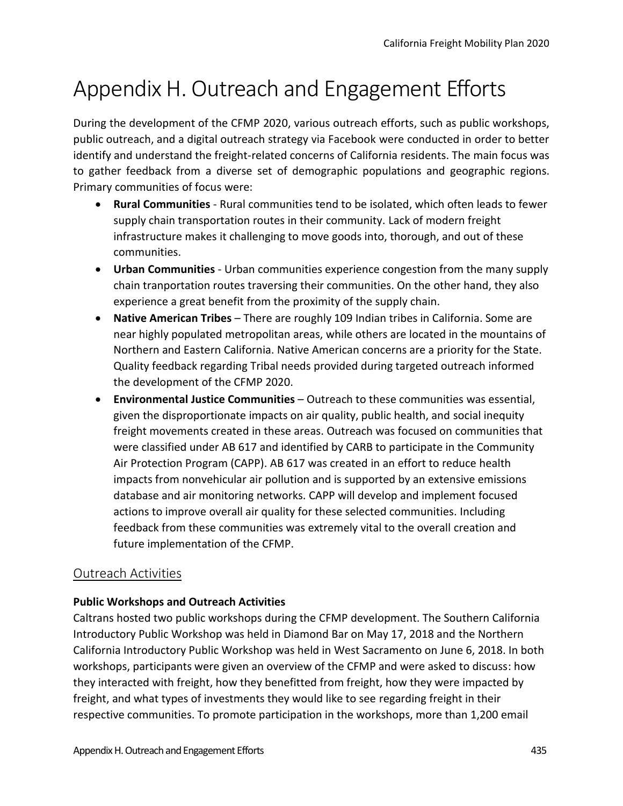## Appendix H. Outreach and Engagement Efforts

During the development of the CFMP 2020, various outreach efforts, such as public workshops, public outreach, and a digital outreach strategy via Facebook were conducted in order to better identify and understand the freight-related concerns of California residents. The main focus was to gather feedback from a diverse set of demographic populations and geographic regions. Primary communities of focus were:

- **Rural Communities**  Rural communities tend to be isolated, which often leads to fewer supply chain transportation routes in their community. Lack of modern freight infrastructure makes it challenging to move goods into, thorough, and out of these communities.
- **Urban Communities**  Urban communities experience congestion from the many supply chain tranportation routes traversing their communities. On the other hand, they also experience a great benefit from the proximity of the supply chain.
- **Native American Tribes**  There are roughly 109 Indian tribes in California. Some are near highly populated metropolitan areas, while others are located in the mountains of Northern and Eastern California. Native American concerns are a priority for the State. Quality feedback regarding Tribal needs provided during targeted outreach informed the development of the CFMP 2020.
- **Environmental Justice Communities**  Outreach to these communities was essential, given the disproportionate impacts on air quality, public health, and social inequity freight movements created in these areas. Outreach was focused on communities that were classified under AB 617 and identified by CARB to participate in the Community Air Protection Program (CAPP). AB 617 was created in an effort to reduce health impacts from nonvehicular air pollution and is supported by an extensive emissions database and air monitoring networks. CAPP will develop and implement focused actions to improve overall air quality for these selected communities. Including feedback from these communities was extremely vital to the overall creation and future implementation of the CFMP.

## Outreach Activities

## **Public Workshops and Outreach Activities**

Caltrans hosted two public workshops during the CFMP development. The Southern California Introductory Public Workshop was held in Diamond Bar on May 17, 2018 and the Northern California Introductory Public Workshop was held in West Sacramento on June 6, 2018. In both workshops, participants were given an overview of the CFMP and were asked to discuss: how they interacted with freight, how they benefitted from freight, how they were impacted by freight, and what types of investments they would like to see regarding freight in their respective communities. To promote participation in the workshops, more than 1,200 email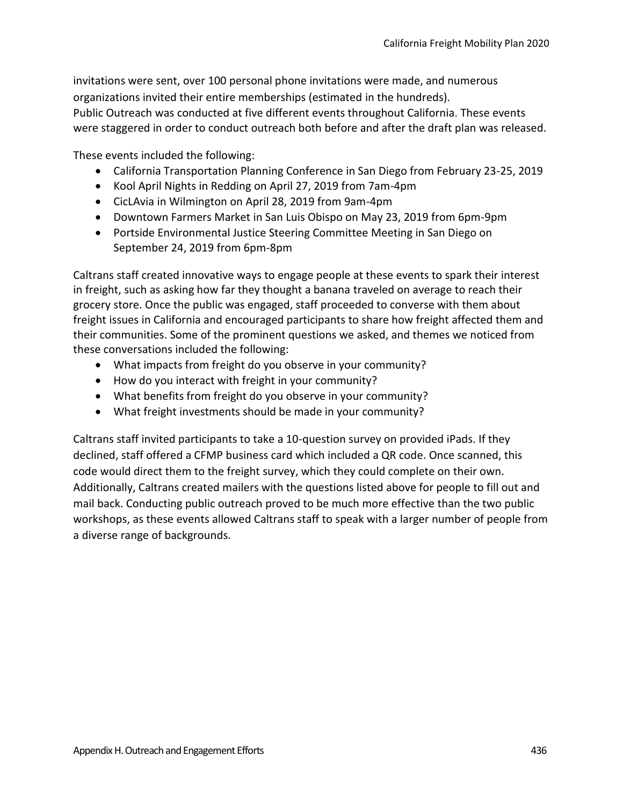invitations were sent, over 100 personal phone invitations were made, and numerous organizations invited their entire memberships (estimated in the hundreds).

Public Outreach was conducted at five different events throughout California. These events were staggered in order to conduct outreach both before and after the draft plan was released.

These events included the following:

- California Transportation Planning Conference in San Diego from February 23-25, 2019
- Kool April Nights in Redding on April 27, 2019 from 7am-4pm
- CicLAvia in Wilmington on April 28, 2019 from 9am-4pm
- Downtown Farmers Market in San Luis Obispo on May 23, 2019 from 6pm-9pm
- Portside Environmental Justice Steering Committee Meeting in San Diego on September 24, 2019 from 6pm-8pm

Caltrans staff created innovative ways to engage people at these events to spark their interest in freight, such as asking how far they thought a banana traveled on average to reach their grocery store. Once the public was engaged, staff proceeded to converse with them about freight issues in California and encouraged participants to share how freight affected them and their communities. Some of the prominent questions we asked, and themes we noticed from these conversations included the following:

- What impacts from freight do you observe in your community?
- How do you interact with freight in your community?
- What benefits from freight do you observe in your community?
- What freight investments should be made in your community?

Caltrans staff invited participants to take a 10-question survey on provided iPads. If they declined, staff offered a CFMP business card which included a QR code. Once scanned, this code would direct them to the freight survey, which they could complete on their own. Additionally, Caltrans created mailers with the questions listed above for people to fill out and mail back. Conducting public outreach proved to be much more effective than the two public workshops, as these events allowed Caltrans staff to speak with a larger number of people from a diverse range of backgrounds.